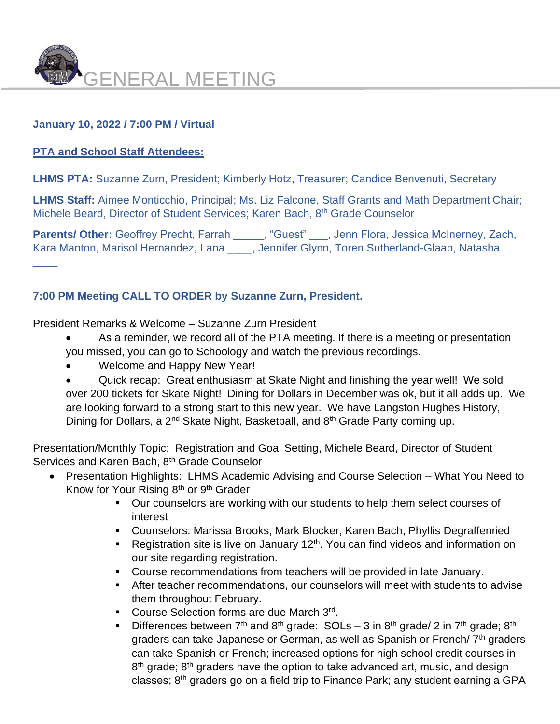

# **January 10, 2022 / 7:00 PM / Virtual**

# **PTA and School Staff Attendees:**

 $\overline{\phantom{a}}$ 

**LHMS PTA:** Suzanne Zurn, President; Kimberly Hotz, Treasurer; Candice Benvenuti, Secretary

**LHMS Staff:** Aimee Monticchio, Principal; Ms. Liz Falcone, Staff Grants and Math Department Chair; Michele Beard, Director of Student Services; Karen Bach, 8<sup>th</sup> Grade Counselor

Parents/ Other: Geoffrey Precht, Farrah \_\_\_\_\_, "Guest" \_\_\_, Jenn Flora, Jessica McInerney, Zach, Kara Manton, Marisol Hernandez, Lana \_\_\_\_, Jennifer Glynn, Toren Sutherland-Glaab, Natasha

# **7:00 PM Meeting CALL TO ORDER by Suzanne Zurn, President.**

President Remarks & Welcome – Suzanne Zurn President

- As a reminder, we record all of the PTA meeting. If there is a meeting or presentation you missed, you can go to Schoology and watch the previous recordings.
- Welcome and Happy New Year!

• Quick recap: Great enthusiasm at Skate Night and finishing the year well! We sold over 200 tickets for Skate Night! Dining for Dollars in December was ok, but it all adds up. We are looking forward to a strong start to this new year. We have Langston Hughes History, Dining for Dollars, a 2<sup>nd</sup> Skate Night, Basketball, and 8<sup>th</sup> Grade Party coming up.

Presentation/Monthly Topic: Registration and Goal Setting, Michele Beard, Director of Student Services and Karen Bach, 8<sup>th</sup> Grade Counselor

- Presentation Highlights: LHMS Academic Advising and Course Selection What You Need to Know for Your Rising  $8<sup>th</sup>$  or  $9<sup>th</sup>$  Grader
	- Our counselors are working with our students to help them select courses of interest
	- Counselors: Marissa Brooks, Mark Blocker, Karen Bach, Phyllis Degraffenried
	- **EXECT** Registration site is live on January 12<sup>th</sup>. You can find videos and information on our site regarding registration.
	- Course recommendations from teachers will be provided in late January.
	- **EXTER 15 After teacher recommendations, our counselors will meet with students to advise** them throughout February.
	- **Course Selection forms are due March 3rd.**
	- **•** Differences between  $7<sup>th</sup>$  and  $8<sup>th</sup>$  grade: SOLs 3 in  $8<sup>th</sup>$  grade/ 2 in  $7<sup>th</sup>$  grade;  $8<sup>th</sup>$ graders can take Japanese or German, as well as Spanish or French/ 7<sup>th</sup> graders can take Spanish or French; increased options for high school credit courses in 8<sup>th</sup> grade; 8<sup>th</sup> graders have the option to take advanced art, music, and design classes;  $8<sup>th</sup>$  graders go on a field trip to Finance Park; any student earning a GPA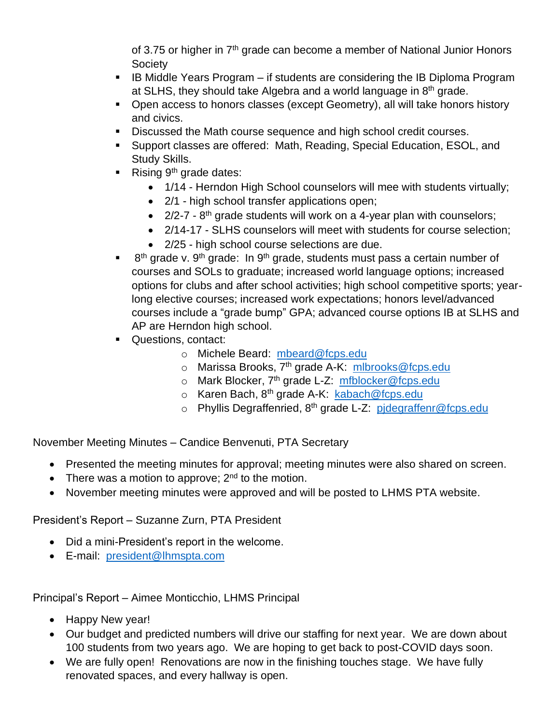of 3.75 or higher in  $7<sup>th</sup>$  grade can become a member of National Junior Honors Society

- IB Middle Years Program if students are considering the IB Diploma Program at SLHS, they should take Algebra and a world language in  $8<sup>th</sup>$  grade.
- Open access to honors classes (except Geometry), all will take honors history and civics.
- Discussed the Math course sequence and high school credit courses.
- Support classes are offered: Math, Reading, Special Education, ESOL, and Study Skills.
- **•** Rising  $9<sup>th</sup>$  grade dates:
	- 1/14 Herndon High School counselors will mee with students virtually;
	- 2/1 high school transfer applications open;
	- $\bullet$  2/2-7 8<sup>th</sup> grade students will work on a 4-year plan with counselors;
	- 2/14-17 SLHS counselors will meet with students for course selection;
	- 2/25 high school course selections are due.
- $\blacksquare$  8<sup>th</sup> grade v. 9<sup>th</sup> grade: In 9<sup>th</sup> grade, students must pass a certain number of courses and SOLs to graduate; increased world language options; increased options for clubs and after school activities; high school competitive sports; yearlong elective courses; increased work expectations; honors level/advanced courses include a "grade bump" GPA; advanced course options IB at SLHS and AP are Herndon high school.
- Questions, contact:
	- o Michele Beard: [mbeard@fcps.edu](mailto:mbeard@fcps.edu)
	- o Marissa Brooks, 7<sup>th</sup> grade A-K: [mlbrooks@fcps.edu](mailto:mlbrooks@fcps.edu)
	- o Mark Blocker, 7<sup>th</sup> grade L-Z: [mfblocker@fcps.edu](mailto:mfblocker@fcps.edu)
	- o Karen Bach, 8<sup>th</sup> grade A-K: [kabach@fcps.edu](mailto:kabach@fcps.edu)
	- o Phyllis Degraffenried, 8th grade L-Z: [pjdegraffenr@fcps.edu](mailto:pjdegraffenr@fcps.edu)

November Meeting Minutes – Candice Benvenuti, PTA Secretary

- Presented the meeting minutes for approval; meeting minutes were also shared on screen.
- There was a motion to approve;  $2^{nd}$  to the motion.
- November meeting minutes were approved and will be posted to LHMS PTA website.

President's Report – Suzanne Zurn, PTA President

- Did a mini-President's report in the welcome.
- E-mail: [president@lhmspta.com](mailto:president@lhmspta.com)

Principal's Report – Aimee Monticchio, LHMS Principal

- Happy New year!
- Our budget and predicted numbers will drive our staffing for next year. We are down about 100 students from two years ago. We are hoping to get back to post-COVID days soon.
- We are fully open! Renovations are now in the finishing touches stage. We have fully renovated spaces, and every hallway is open.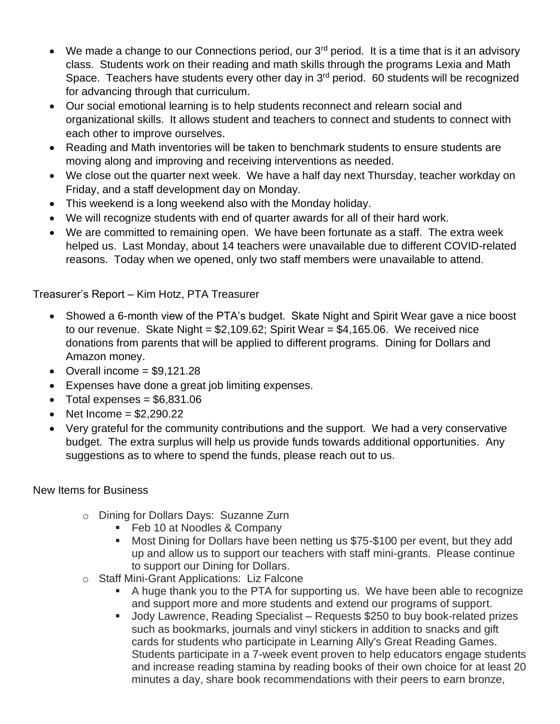- We made a change to our Connections period, our  $3<sup>rd</sup>$  period. It is a time that is it an advisory class. Students work on their reading and math skills through the programs Lexia and Math Space. Teachers have students every other day in 3<sup>rd</sup> period. 60 students will be recognized for advancing through that curriculum.
- Our social emotional learning is to help students reconnect and relearn social and organizational skills. It allows student and teachers to connect and students to connect with each other to improve ourselves.
- Reading and Math inventories will be taken to benchmark students to ensure students are moving along and improving and receiving interventions as needed.
- We close out the quarter next week. We have a half day next Thursday, teacher workday on Friday, and a staff development day on Monday.
- This weekend is a long weekend also with the Monday holiday.
- We will recognize students with end of quarter awards for all of their hard work.
- We are committed to remaining open. We have been fortunate as a staff. The extra week helped us. Last Monday, about 14 teachers were unavailable due to different COVID-related reasons. Today when we opened, only two staff members were unavailable to attend.

# Treasurer's Report – Kim Hotz, PTA Treasurer

- Showed a 6-month view of the PTA's budget. Skate Night and Spirit Wear gave a nice boost to our revenue. Skate Night =  $$2,109.62$ ; Spirit Wear =  $$4,165.06$ . We received nice donations from parents that will be applied to different programs. Dining for Dollars and Amazon money.
- Overall income  $= $9,121.28$
- Expenses have done a great job limiting expenses.
- Total expenses  $= $6,831.06$
- Net Income  $= $2,290.22$
- Very grateful for the community contributions and the support. We had a very conservative budget. The extra surplus will help us provide funds towards additional opportunities. Any suggestions as to where to spend the funds, please reach out to us.

# New Items for Business

- o Dining for Dollars Days: Suzanne Zurn
	- Feb 10 at Noodles & Company
	- Most Dining for Dollars have been netting us \$75-\$100 per event, but they add up and allow us to support our teachers with staff mini-grants. Please continue to support our Dining for Dollars.
- o Staff Mini-Grant Applications: Liz Falcone
	- A huge thank you to the PTA for supporting us. We have been able to recognize and support more and more students and extend our programs of support.
	- Jody Lawrence, Reading Specialist Requests \$250 to buy book-related prizes such as bookmarks, journals and vinyl stickers in addition to snacks and gift cards for students who participate in Learning Ally's Great Reading Games. Students participate in a 7-week event proven to help educators engage students and increase reading stamina by reading books of their own choice for at least 20 minutes a day, share book recommendations with their peers to earn bronze,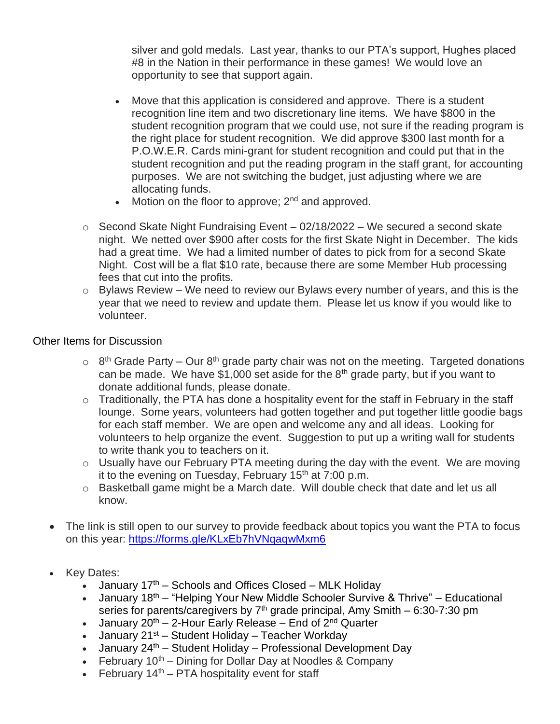silver and gold medals. Last year, thanks to our PTA's support, Hughes placed #8 in the Nation in their performance in these games! We would love an opportunity to see that support again.

- Move that this application is considered and approve. There is a student recognition line item and two discretionary line items. We have \$800 in the student recognition program that we could use, not sure if the reading program is the right place for student recognition. We did approve \$300 last month for a P.O.W.E.R. Cards mini-grant for student recognition and could put that in the student recognition and put the reading program in the staff grant, for accounting purposes. We are not switching the budget, just adjusting where we are allocating funds.
- Motion on the floor to approve;  $2<sup>nd</sup>$  and approved.
- $\circ$  Second Skate Night Fundraising Event 02/18/2022 We secured a second skate night. We netted over \$900 after costs for the first Skate Night in December. The kids had a great time. We had a limited number of dates to pick from for a second Skate Night. Cost will be a flat \$10 rate, because there are some Member Hub processing fees that cut into the profits.
- $\circ$  Bylaws Review We need to review our Bylaws every number of years, and this is the year that we need to review and update them. Please let us know if you would like to volunteer.

### Other Items for Discussion

- $\circ$  8<sup>th</sup> Grade Party Our 8<sup>th</sup> grade party chair was not on the meeting. Targeted donations can be made. We have  $$1,000$  set aside for the  $8<sup>th</sup>$  grade party, but if you want to donate additional funds, please donate.
- $\circ$  Traditionally, the PTA has done a hospitality event for the staff in February in the staff lounge. Some years, volunteers had gotten together and put together little goodie bags for each staff member. We are open and welcome any and all ideas. Looking for volunteers to help organize the event. Suggestion to put up a writing wall for students to write thank you to teachers on it.
- $\circ$  Usually have our February PTA meeting during the day with the event. We are moving it to the evening on Tuesday, February  $15<sup>th</sup>$  at 7:00 p.m.
- o Basketball game might be a March date. Will double check that date and let us all know.
- The link is still open to our survey to provide feedback about topics you want the PTA to focus on this year: [https://forms.gle/KLxEb7hVNqaqwMxm6](https://lnks.gd/l/eyJhbGciOiJIUzI1NiJ9.eyJidWxsZXRpbl9saW5rX2lkIjoxMDQsInVyaSI6ImJwMjpjbGljayIsImJ1bGxldGluX2lkIjoiMjAyMTEwMTMuNDcyNjc1ODEiLCJ1cmwiOiJodHRwczovL2xua3MuZ2QvbC9leUpoYkdjaU9pSklVekkxTmlKOS5leUppZFd4c1pYUnBibDlzYVc1clgybGtJam94TURNc0luVnlhU0k2SW1Kd01qcGpiR2xqYXlJc0ltSjFiR3hsZEdsdVgybGtJam9pTWpBeU1UQTVNREV1TkRVek16VXdOREVpTENKMWNtd2lPaUpvZEhSd2N6b3ZMMlp2Y20xekxtZHNaUzlMVEhoRllqZG9WazV4WVhGM1RYaHROajkxZEcxZlkyOXVkR1Z1ZEQwbWRYUnRYMjFsWkdsMWJUMWxiV0ZwYkNaMWRHMWZibUZ0WlQwbWRYUnRYM052ZFhKalpUMW5iM1prWld4cGRtVnllU1oxZEcxZmRHVnliVDBpZlEucXAxNkZxUE5ndDZRczFmZ3RUcDJiV1MyUjY3dlJ2YU9Rb2VtN3VpamV6RS9zLzU2MTczOTkzNS9ici8xMTE3MDUxNjU5NDgtbD91dG1fY29udGVudD0mdXRtX21lZGl1bT1lbWFpbCZ1dG1fbmFtZT0mdXRtX3NvdXJjZT1nb3ZkZWxpdmVyeSZ1dG1fdGVybT0ifQ._NKwQPbkKnIELy1z2VD0UTukPX4mbmNso04oej2nxE8/s/562063603/br/113800907708-l)
- Key Dates:
	- January  $17<sup>th</sup>$  Schools and Offices Closed MLK Holiday
	- January 18<sup>th</sup> "Helping Your New Middle Schooler Survive & Thrive" Educational series for parents/caregivers by  $7<sup>th</sup>$  grade principal, Amy Smith – 6:30-7:30 pm
	- January  $20^{th}$  2-Hour Early Release End of  $2^{nd}$  Quarter
	- January  $21^{st}$  Student Holiday Teacher Workday
	- January  $24^{th}$  Student Holiday Professional Development Day
	- February  $10^{th}$  Dining for Dollar Day at Noodles & Company
	- February  $14<sup>th</sup>$  PTA hospitality event for staff